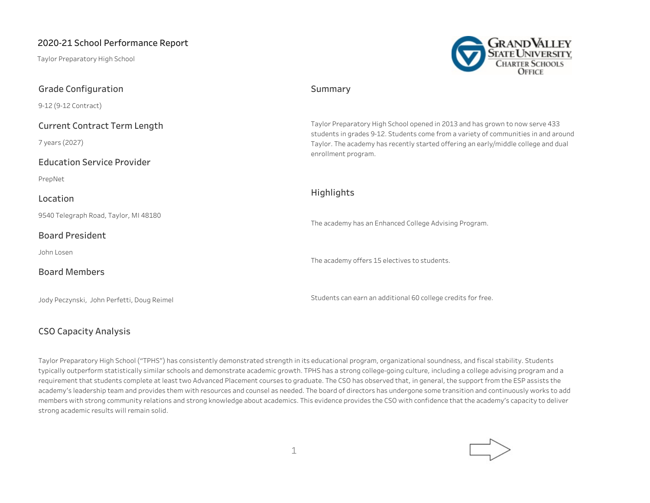Taylor Preparatory High School

**Grade Configuration**



# **Summary**

Taylor Preparatory High School opened in 2013 and has grown to now serve 433 students in grades 9-12. Students come from a variety of communities in and around Taylor. The academy has recently started offering an early/middle college and dual enrollment program.

## **Highlights**

The academy has an Enhanced College Advising Program.

The academy offers 15 electives to students.

Students can earn an additional 60 college credits for free.

# PrepNet

7 years (2027)

9-12 (9-12 Contract)

#### **Location**

9540 Telegraph Road, Taylor, MI 48180

**Current Contract Term Length**

**Education Service Provider**

#### **Board President**

John Losen

## **Board Members**

Jody Peczynski, John Perfetti, Doug Reimel

## **CSO Capacity Analysis**

Taylor Preparatory High School ("TPHS") has consistently demonstrated strength in its educational program, organizational soundness, and fiscal stability. Students typically outperform statistically similar schools and demonstrate academic growth. TPHS has a strong college-going culture, including a college advising program and a requirement that students complete at least two Advanced Placement courses to graduate. The CSO has observed that, in general, the support from the ESP assists the academy's leadership team and provides them with resources and counsel as needed. The board of directors has undergone some transition and continuously works to add members with strong community relations and strong knowledge about academics. This evidence provides the CSO with confidence that the academy's capacity to deliver strong academic results will remain solid.

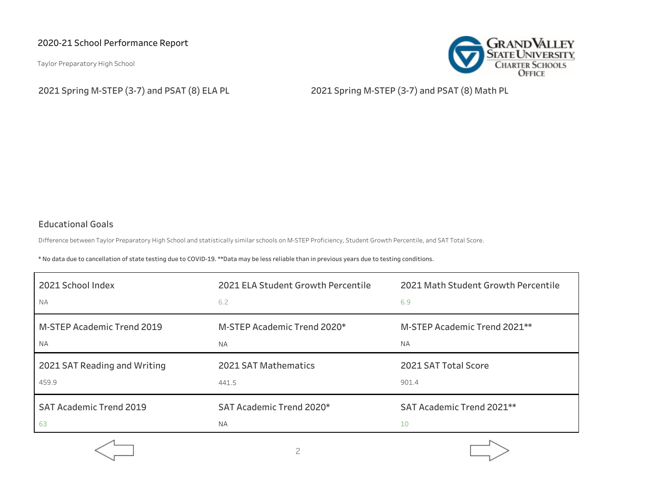Taylor Preparatory High School



**2021 Spring M-STEP (3-7) and PSAT (8) ELA PL 2021 Spring M-STEP (3-7) and PSAT (8) Math PL**

# **Educational Goals**

Difference between Taylor Preparatory High School and statistically similar schools on M-STEP Proficiency, Student Growth Percentile, and SAT Total Score.

\* No data due to cancellation of state testing due to COVID-19. \*\*Data may be less reliable than in previous years due to testing conditions.

| 2021 School Index                 | 2021 ELA Student Growth Percentile | 2021 Math Student Growth Percentile      |
|-----------------------------------|------------------------------------|------------------------------------------|
| <b>NA</b>                         | 6.2                                | 6.9                                      |
| <b>M-STEP Academic Trend 2019</b> | M-STEP Academic Trend 2020*        | M-STEP Academic Trend 2021 <sup>**</sup> |
| <b>NA</b>                         | <b>NA</b>                          | <b>NA</b>                                |
| 2021 SAT Reading and Writing      | 2021 SAT Mathematics               | 2021 SAT Total Score                     |
| 459.9                             | 441.5                              | 901.4                                    |
| <b>SAT Academic Trend 2019</b>    | SAT Academic Trend 2020*           | SAT Academic Trend 2021**                |
| 63                                | <b>NA</b>                          | 10                                       |



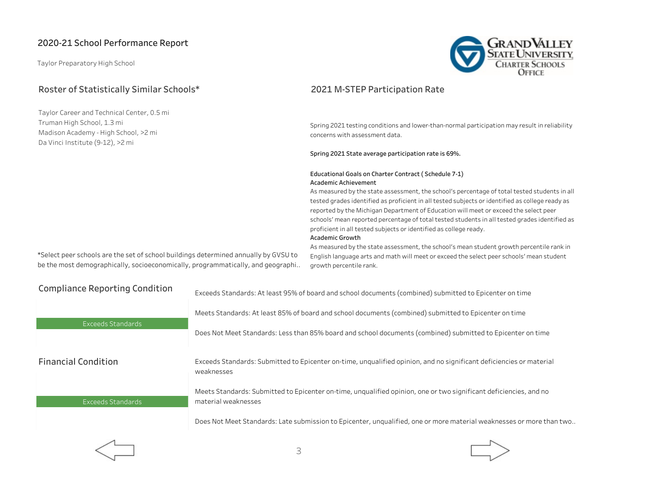Taylor Preparatory High School

# **Roster of Statistically Similar Schools\***

Taylor Career and Technical Center, 0.5 mi Truman High School, 1.3 mi Madison Academy - High School, >2 mi Da Vinci Institute (9-12), >2 mi



# **2021 M-STEP Participation Rate**

Spring 2021 testing conditions and lower-than-normal participation may result in reliability concerns with assessment data.

#### **Spring 2021 State average participation rate is 69%.**

#### **Educational Goals on Charter Contract ( Schedule 7-1) Academic Achievement**

As measured by the state assessment, the school's percentage of total tested students in all tested grades identified as proficient in all tested subjects or identified as college ready as reported by the Michigan Department of Education will meet or exceed the select peer schools' mean reported percentage of total tested students in all tested grades identified as proficient in all tested subjects or identified as college ready. **Academic Growth**

\*Select peer schools are the set of school buildings determined annually by GVSU to be the most demographically, socioeconomically, programmatically, and geographi..

As measured by the state assessment, the school's mean student growth percentile rank in English language arts and math will meet or exceed the select peer schools' mean student growth percentile rank.

| <b>Compliance Reporting Condition</b> | Exceeds Standards: At least 95% of board and school documents (combined) submitted to Epicenter on time                                  |  |
|---------------------------------------|------------------------------------------------------------------------------------------------------------------------------------------|--|
| Exceeds Standards                     | Meets Standards: At least 85% of board and school documents (combined) submitted to Epicenter on time                                    |  |
|                                       | Does Not Meet Standards: Less than 85% board and school documents (combined) submitted to Epicenter on time                              |  |
| <b>Financial Condition</b>            | Exceeds Standards: Submitted to Epicenter on-time, unqualified opinion, and no significant deficiencies or material<br>weaknesses        |  |
| Exceeds Standards                     | Meets Standards: Submitted to Epicenter on-time, unqualified opinion, one or two significant deficiencies, and no<br>material weaknesses |  |
|                                       | Does Not Meet Standards: Late submission to Epicenter, unqualified, one or more material weaknesses or more than two                     |  |
|                                       |                                                                                                                                          |  |